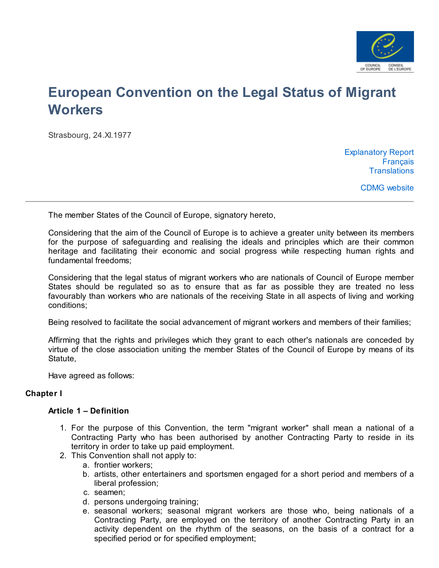

# European Convention on the Legal Status of Migrant **Workers**

Strasbourg, 24.XI.1977

[Explanatory](http://conventions.coe.int/Treaty/EN/Reports/Html/093.htm) Report [Français](http://conventions.coe.int/Treaty/FR/Treaties/Html/093.htm) **[Translations](http://conventions.coe.int/Default.asp?pg=Treaty/Translations/TranslationsChart_en.htm#093)** 

CDMG [website](http://www.coe.int/t/dg3/migration/default_en.asp)

The member States of the Council of Europe, signatory hereto,

Considering that the aim of the Council of Europe is to achieve a greater unity between its members for the purpose of safeguarding and realising the ideals and principles which are their common heritage and facilitating their economic and social progress while respecting human rights and fundamental freedoms;

Considering that the legal status of migrant workers who are nationals of Council of Europe member States should be regulated so as to ensure that as far as possible they are treated no less favourably than workers who are nationals of the receiving State in all aspects of living and working conditions;

Being resolved to facilitate the social advancement of migrant workers and members of their families;

Affirming that the rights and privileges which they grant to each other's nationals are conceded by virtue of the close association uniting the member States of the Council of Europe by means of its Statute,

Have agreed as follows:

### Chapter I

### Article 1 – Definition

- 1. For the purpose of this Convention, the term "migrant worker" shall mean a national of a Contracting Party who has been authorised by another Contracting Party to reside in its territory in order to take up paid employment.
- 2. This Convention shall not apply to:
	- a. frontier workers;
	- b. artists, other entertainers and sportsmen engaged for a short period and members of a liberal profession;
	- c. seamen;
	- d. persons undergoing training;
	- e. seasonal workers; seasonal migrant workers are those who, being nationals of a Contracting Party, are employed on the territory of another Contracting Party in an activity dependent on the rhythm of the seasons, on the basis of a contract for a specified period or for specified employment;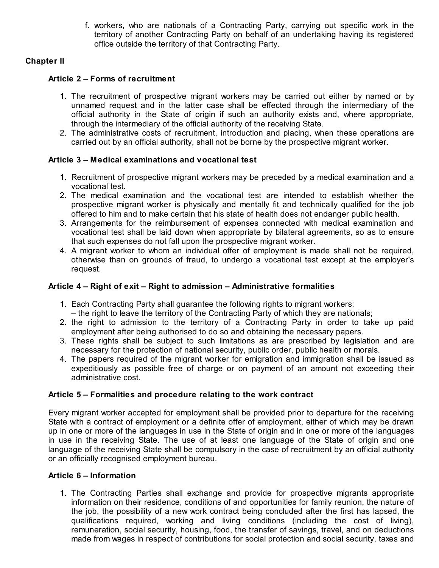f. workers, who are nationals of a Contracting Party, carrying out specific work in the territory of another Contracting Party on behalf of an undertaking having its registered office outside the territory of that Contracting Party.

# Chapter II

# Article 2 – Forms of recruitment

- 1. The recruitment of prospective migrant workers may be carried out either by named or by unnamed request and in the latter case shall be effected through the intermediary of the official authority in the State of origin if such an authority exists and, where appropriate, through the intermediary of the official authority of the receiving State.
- 2. The administrative costs of recruitment, introduction and placing, when these operations are carried out by an official authority, shall not be borne by the prospective migrant worker.

## Article 3 – Medical examinations and vocational test

- 1. Recruitment of prospective migrant workers may be preceded by a medical examination and a vocational test.
- 2. The medical examination and the vocational test are intended to establish whether the prospective migrant worker is physically and mentally fit and technically qualified for the job offered to him and to make certain that his state of health does not endanger public health.
- 3. Arrangements for the reimbursement of expenses connected with medical examination and vocational test shall be laid down when appropriate by bilateral agreements, so as to ensure that such expenses do not fall upon the prospective migrant worker.
- 4. A migrant worker to whom an individual offer of employment is made shall not be required, otherwise than on grounds of fraud, to undergo a vocational test except at the employer's request.

# Article 4 – Right of exit – Right to admission – Administrative formalities

- 1. Each Contracting Party shall guarantee the following rights to migrant workers:
	- the right to leave the territory of the Contracting Party of which they are nationals;
- 2. the right to admission to the territory of a Contracting Party in order to take up paid employment after being authorised to do so and obtaining the necessary papers.
- 3. These rights shall be subject to such limitations as are prescribed by legislation and are necessary for the protection of national security, public order, public health or morals.
- 4. The papers required of the migrant worker for emigration and immigration shall be issued as expeditiously as possible free of charge or on payment of an amount not exceeding their administrative cost.

# Article 5 – Formalities and procedure relating to the work contract

Every migrant worker accepted for employment shall be provided prior to departure for the receiving State with a contract of employment or a definite offer of employment, either of which may be drawn up in one or more of the languages in use in the State of origin and in one or more of the languages in use in the receiving State. The use of at least one language of the State of origin and one language of the receiving State shall be compulsory in the case of recruitment by an official authority or an officially recognised employment bureau.

## Article 6 – Information

1. The Contracting Parties shall exchange and provide for prospective migrants appropriate information on their residence, conditions of and opportunities for family reunion, the nature of the job, the possibility of a new work contract being concluded after the first has lapsed, the qualifications required, working and living conditions (including the cost of living), remuneration, social security, housing, food, the transfer of savings, travel, and on deductions made from wages in respect of contributions for social protection and social security, taxes and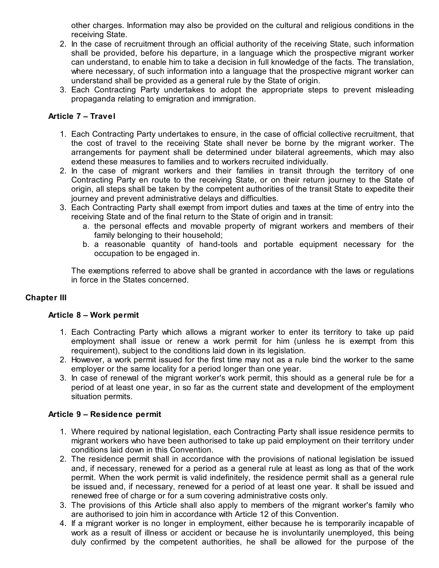other charges. Information may also be provided on the cultural and religious conditions in the receiving State.

- 2. In the case of recruitment through an official authority of the receiving State, such information shall be provided, before his departure, in a language which the prospective migrant worker can understand, to enable him to take a decision in full knowledge of the facts. The translation, where necessary, of such information into a language that the prospective migrant worker can understand shall be provided as a general rule by the State of origin.
- 3. Each Contracting Party undertakes to adopt the appropriate steps to prevent misleading propaganda relating to emigration and immigration.

## Article 7 – Travel

- 1. Each Contracting Party undertakes to ensure, in the case of official collective recruitment, that the cost of travel to the receiving State shall never be borne by the migrant worker. The arrangements for payment shall be determined under bilateral agreements, which may also extend these measures to families and to workers recruited individually.
- 2. In the case of migrant workers and their families in transit through the territory of one Contracting Party en route to the receiving State, or on their return journey to the State of origin, all steps shall be taken by the competent authorities of the transit State to expedite their journey and prevent administrative delays and difficulties.
- 3. Each Contracting Party shall exempt from import duties and taxes at the time of entry into the receiving State and of the final return to the State of origin and in transit:
	- a. the personal effects and movable property of migrant workers and members of their family belonging to their household;
	- b. a reasonable quantity of hand-tools and portable equipment necessary for the occupation to be engaged in.

The exemptions referred to above shall be granted in accordance with the laws or regulations in force in the States concerned.

### Chapter III

### Article 8 – Work permit

- 1. Each Contracting Party which allows a migrant worker to enter its territory to take up paid employment shall issue or renew a work permit for him (unless he is exempt from this requirement), subject to the conditions laid down in its legislation.
- 2. However, a work permit issued for the first time may not as a rule bind the worker to the same employer or the same locality for a period longer than one year.
- 3. In case of renewal of the migrant worker's work permit, this should as a general rule be for a period of at least one year, in so far as the current state and development of the employment situation permits.

### Article 9 – Residence permit

- 1. Where required by national legislation, each Contracting Party shall issue residence permits to migrant workers who have been authorised to take up paid employment on their territory under conditions laid down in this Convention.
- 2. The residence permit shall in accordance with the provisions of national legislation be issued and, if necessary, renewed for a period as a general rule at least as long as that of the work permit. When the work permit is valid indefinitely, the residence permit shall as a general rule be issued and, if necessary, renewed for a period of at least one year. It shall be issued and renewed free of charge or for a sum covering administrative costs only.
- 3. The provisions of this Article shall also apply to members of the migrant worker's family who are authorised to join him in accordance with Article 12 of this Convention.
- 4. If a migrant worker is no longer in employment, either because he is temporarily incapable of work as a result of illness or accident or because he is involuntarily unemployed, this being duly confirmed by the competent authorities, he shall be allowed for the purpose of the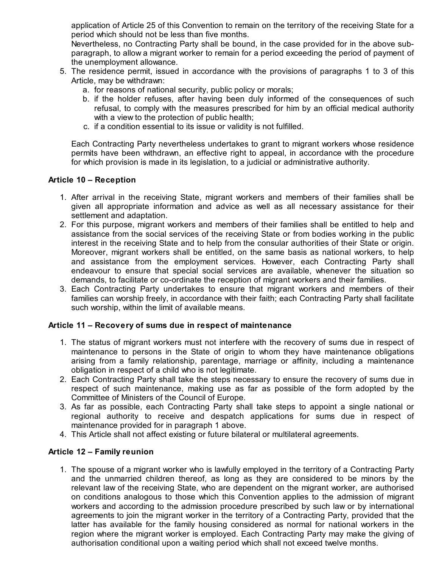application of Article 25 of this Convention to remain on the territory of the receiving State for a period which should not be less than five months.

Nevertheless, no Contracting Party shall be bound, in the case provided for in the above subparagraph, to allow a migrant worker to remain for a period exceeding the period of payment of the unemployment allowance.

- 5. The residence permit, issued in accordance with the provisions of paragraphs 1 to 3 of this Article, may be withdrawn:
	- a. for reasons of national security, public policy or morals;
	- b. if the holder refuses, after having been duly informed of the consequences of such refusal, to comply with the measures prescribed for him by an official medical authority with a view to the protection of public health;
	- c. if a condition essential to its issue or validity is not fulfilled.

Each Contracting Party nevertheless undertakes to grant to migrant workers whose residence permits have been withdrawn, an effective right to appeal, in accordance with the procedure for which provision is made in its legislation, to a judicial or administrative authority.

### Article 10 – Reception

- 1. After arrival in the receiving State, migrant workers and members of their families shall be given all appropriate information and advice as well as all necessary assistance for their settlement and adaptation.
- 2. For this purpose, migrant workers and members of their families shall be entitled to help and assistance from the social services of the receiving State or from bodies working in the public interest in the receiving State and to help from the consular authorities of their State or origin. Moreover, migrant workers shall be entitled, on the same basis as national workers, to help and assistance from the employment services. However, each Contracting Party shall endeavour to ensure that special social services are available, whenever the situation so demands, to facilitate or co-ordinate the reception of migrant workers and their families.
- 3. Each Contracting Party undertakes to ensure that migrant workers and members of their families can worship freely, in accordance with their faith; each Contracting Party shall facilitate such worship, within the limit of available means.

### Article 11 – Recovery of sums due in respect of maintenance

- 1. The status of migrant workers must not interfere with the recovery of sums due in respect of maintenance to persons in the State of origin to whom they have maintenance obligations arising from a family relationship, parentage, marriage or affinity, including a maintenance obligation in respect of a child who is not legitimate.
- 2. Each Contracting Party shall take the steps necessary to ensure the recovery of sums due in respect of such maintenance, making use as far as possible of the form adopted by the Committee of Ministers of the Council of Europe.
- 3. As far as possible, each Contracting Party shall take steps to appoint a single national or regional authority to receive and despatch applications for sums due in respect of maintenance provided for in paragraph 1 above.
- 4. This Article shall not affect existing or future bilateral or multilateral agreements.

### Article 12 – Family reunion

1. The spouse of a migrant worker who is lawfully employed in the territory of a Contracting Party and the unmarried children thereof, as long as they are considered to be minors by the relevant law of the receiving State, who are dependent on the migrant worker, are authorised on conditions analogous to those which this Convention applies to the admission of migrant workers and according to the admission procedure prescribed by such law or by international agreements to join the migrant worker in the territory of a Contracting Party, provided that the latter has available for the family housing considered as normal for national workers in the region where the migrant worker is employed. Each Contracting Party may make the giving of authorisation conditional upon a waiting period which shall not exceed twelve months.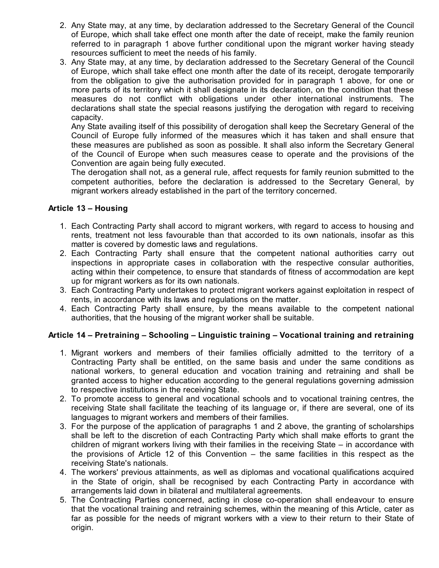- 2. Any State may, at any time, by declaration addressed to the Secretary General of the Council of Europe, which shall take effect one month after the date of receipt, make the family reunion referred to in paragraph 1 above further conditional upon the migrant worker having steady resources sufficient to meet the needs of his family.
- 3. Any State may, at any time, by declaration addressed to the Secretary General of the Council of Europe, which shall take effect one month after the date of its receipt, derogate temporarily from the obligation to give the authorisation provided for in paragraph 1 above, for one or more parts of its territory which it shall designate in its declaration, on the condition that these measures do not conflict with obligations under other international instruments. The declarations shall state the special reasons justifying the derogation with regard to receiving capacity.

Any State availing itself of this possibility of derogation shall keep the Secretary General of the Council of Europe fully informed of the measures which it has taken and shall ensure that these measures are published as soon as possible. It shall also inform the Secretary General of the Council of Europe when such measures cease to operate and the provisions of the Convention are again being fully executed.

The derogation shall not, as a general rule, affect requests for family reunion submitted to the competent authorities, before the declaration is addressed to the Secretary General, by migrant workers already established in the part of the territory concerned.

## Article 13 – Housing

- 1. Each Contracting Party shall accord to migrant workers, with regard to access to housing and rents, treatment not less favourable than that accorded to its own nationals, insofar as this matter is covered by domestic laws and regulations.
- 2. Each Contracting Party shall ensure that the competent national authorities carry out inspections in appropriate cases in collaboration with the respective consular authorities, acting within their competence, to ensure that standards of fitness of accommodation are kept up for migrant workers as for its own nationals.
- 3. Each Contracting Party undertakes to protect migrant workers against exploitation in respect of rents, in accordance with its laws and regulations on the matter.
- 4. Each Contracting Party shall ensure, by the means available to the competent national authorities, that the housing of the migrant worker shall be suitable.

### Article 14 – Pretraining – Schooling – Linguistic training – Vocational training and retraining

- 1. Migrant workers and members of their families officially admitted to the territory of a Contracting Party shall be entitled, on the same basis and under the same conditions as national workers, to general education and vocation training and retraining and shall be granted access to higher education according to the general regulations governing admission to respective institutions in the receiving State.
- 2. To promote access to general and vocational schools and to vocational training centres, the receiving State shall facilitate the teaching of its language or, if there are several, one of its languages to migrant workers and members of their families.
- 3. For the purpose of the application of paragraphs 1 and 2 above, the granting of scholarships shall be left to the discretion of each Contracting Party which shall make efforts to grant the children of migrant workers living with their families in the receiving State – in accordance with the provisions of Article 12 of this Convention – the same facilities in this respect as the receiving State's nationals.
- 4. The workers' previous attainments, as well as diplomas and vocational qualifications acquired in the State of origin, shall be recognised by each Contracting Party in accordance with arrangements laid down in bilateral and multilateral agreements.
- 5. The Contracting Parties concerned, acting in close co-operation shall endeavour to ensure that the vocational training and retraining schemes, within the meaning of this Article, cater as far as possible for the needs of migrant workers with a view to their return to their State of origin.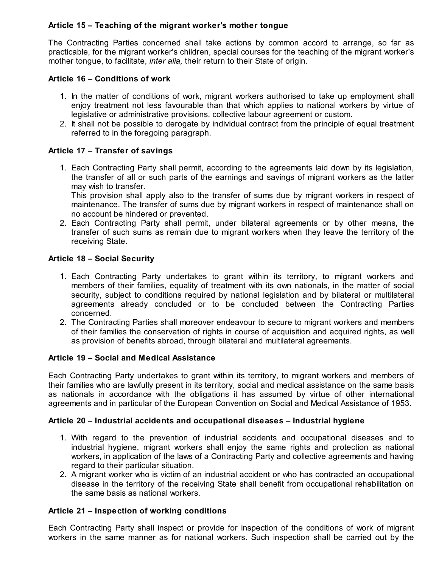## Article 15 – Teaching of the migrant worker's mother tongue

The Contracting Parties concerned shall take actions by common accord to arrange, so far as practicable, for the migrant worker's children, special courses for the teaching of the migrant worker's mother tongue, to facilitate, *inter alia*, their return to their State of origin.

## Article 16 – Conditions of work

- 1. In the matter of conditions of work, migrant workers authorised to take up employment shall enjoy treatment not less favourable than that which applies to national workers by virtue of legislative or administrative provisions, collective labour agreement or custom.
- 2. It shall not be possible to derogate by individual contract from the principle of equal treatment referred to in the foregoing paragraph.

## Article 17 – Transfer of savings

1. Each Contracting Party shall permit, according to the agreements laid down by its legislation, the transfer of all or such parts of the earnings and savings of migrant workers as the latter may wish to transfer.

This provision shall apply also to the transfer of sums due by migrant workers in respect of maintenance. The transfer of sums due by migrant workers in respect of maintenance shall on no account be hindered or prevented.

2. Each Contracting Party shall permit, under bilateral agreements or by other means, the transfer of such sums as remain due to migrant workers when they leave the territory of the receiving State.

## Article 18 – Social Security

- 1. Each Contracting Party undertakes to grant within its territory, to migrant workers and members of their families, equality of treatment with its own nationals, in the matter of social security, subject to conditions required by national legislation and by bilateral or multilateral agreements already concluded or to be concluded between the Contracting Parties concerned.
- 2. The Contracting Parties shall moreover endeavour to secure to migrant workers and members of their families the conservation of rights in course of acquisition and acquired rights, as well as provision of benefits abroad, through bilateral and multilateral agreements.

### Article 19 – Social and Medical Assistance

Each Contracting Party undertakes to grant within its territory, to migrant workers and members of their families who are lawfully present in its territory, social and medical assistance on the same basis as nationals in accordance with the obligations it has assumed by virtue of other international agreements and in particular of the European Convention on Social and Medical Assistance of 1953.

### Article 20 – Industrial accidents and occupational diseases – Industrial hygiene

- 1. With regard to the prevention of industrial accidents and occupational diseases and to industrial hygiene, migrant workers shall enjoy the same rights and protection as national workers, in application of the laws of a Contracting Party and collective agreements and having regard to their particular situation.
- 2. A migrant worker who is victim of an industrial accident or who has contracted an occupational disease in the territory of the receiving State shall benefit from occupational rehabilitation on the same basis as national workers.

### Article 21 – Inspection of working conditions

Each Contracting Party shall inspect or provide for inspection of the conditions of work of migrant workers in the same manner as for national workers. Such inspection shall be carried out by the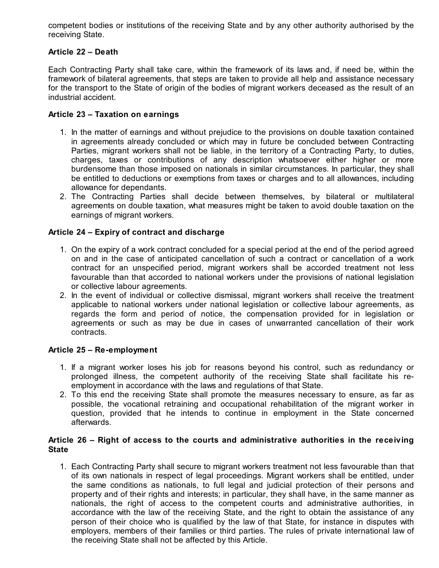competent bodies or institutions of the receiving State and by any other authority authorised by the receiving State.

## Article 22 – Death

Each Contracting Party shall take care, within the framework of its laws and, if need be, within the framework of bilateral agreements, that steps are taken to provide all help and assistance necessary for the transport to the State of origin of the bodies of migrant workers deceased as the result of an industrial accident.

## Article 23 – Taxation on earnings

- 1. In the matter of earnings and without prejudice to the provisions on double taxation contained in agreements already concluded or which may in future be concluded between Contracting Parties, migrant workers shall not be liable, in the territory of a Contracting Party, to duties, charges, taxes or contributions of any description whatsoever either higher or more burdensome than those imposed on nationals in similar circumstances. In particular, they shall be entitled to deductions or exemptions from taxes or charges and to all allowances, including allowance for dependants.
- 2. The Contracting Parties shall decide between themselves, by bilateral or multilateral agreements on double taxation, what measures might be taken to avoid double taxation on the earnings of migrant workers.

## Article 24 – Expiry of contract and discharge

- 1. On the expiry of a work contract concluded for a special period at the end of the period agreed on and in the case of anticipated cancellation of such a contract or cancellation of a work contract for an unspecified period, migrant workers shall be accorded treatment not less favourable than that accorded to national workers under the provisions of national legislation or collective labour agreements.
- 2. In the event of individual or collective dismissal, migrant workers shall receive the treatment applicable to national workers under national legislation or collective labour agreements, as regards the form and period of notice, the compensation provided for in legislation or agreements or such as may be due in cases of unwarranted cancellation of their work contracts.

### Article 25 – Re-employment

- 1. If a migrant worker loses his job for reasons beyond his control, such as redundancy or prolonged illness, the competent authority of the receiving State shall facilitate his reemployment in accordance with the laws and regulations of that State.
- 2. To this end the receiving State shall promote the measures necessary to ensure, as far as possible, the vocational retraining and occupational rehabilitation of the migrant worker in question, provided that he intends to continue in employment in the State concerned afterwards.

### Article 26 – Right of access to the courts and administrative authorities in the receiving State

1. Each Contracting Party shall secure to migrant workers treatment not less favourable than that of its own nationals in respect of legal proceedings. Migrant workers shall be entitled, under the same conditions as nationals, to full legal and judicial protection of their persons and property and of their rights and interests; in particular, they shall have, in the same manner as nationals, the right of access to the competent courts and administrative authorities, in accordance with the law of the receiving State, and the right to obtain the assistance of any person of their choice who is qualified by the law of that State, for instance in disputes with employers, members of their families or third parties. The rules of private international law of the receiving State shall not be affected by this Article.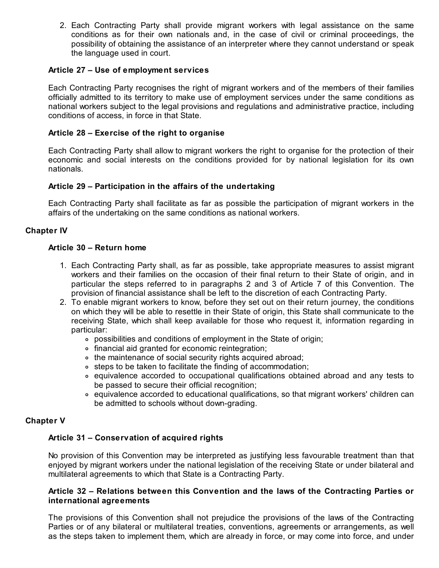2. Each Contracting Party shall provide migrant workers with legal assistance on the same conditions as for their own nationals and, in the case of civil or criminal proceedings, the possibility of obtaining the assistance of an interpreter where they cannot understand or speak the language used in court.

#### Article 27 – Use of employment services

Each Contracting Party recognises the right of migrant workers and of the members of their families officially admitted to its territory to make use of employment services under the same conditions as national workers subject to the legal provisions and regulations and administrative practice, including conditions of access, in force in that State.

#### Article 28 – Exercise of the right to organise

Each Contracting Party shall allow to migrant workers the right to organise for the protection of their economic and social interests on the conditions provided for by national legislation for its own nationals.

#### Article 29 – Participation in the affairs of the undertaking

Each Contracting Party shall facilitate as far as possible the participation of migrant workers in the affairs of the undertaking on the same conditions as national workers.

#### Chapter IV

#### Article 30 – Return home

- 1. Each Contracting Party shall, as far as possible, take appropriate measures to assist migrant workers and their families on the occasion of their final return to their State of origin, and in particular the steps referred to in paragraphs 2 and 3 of Article 7 of this Convention. The provision of financial assistance shall be left to the discretion of each Contracting Party.
- 2. To enable migrant workers to know, before they set out on their return journey, the conditions on which they will be able to resettle in their State of origin, this State shall communicate to the receiving State, which shall keep available for those who request it, information regarding in particular:
	- possibilities and conditions of employment in the State of origin;
	- financial aid granted for economic reintegration;
	- o the maintenance of social security rights acquired abroad;
	- o steps to be taken to facilitate the finding of accommodation;
	- equivalence accorded to occupational qualifications obtained abroad and any tests to be passed to secure their official recognition;
	- o equivalence accorded to educational qualifications, so that migrant workers' children can be admitted to schools without down-grading.

#### Chapter V

### Article 31 – Conservation of acquired rights

No provision of this Convention may be interpreted as justifying less favourable treatment than that enjoyed by migrant workers under the national legislation of the receiving State or under bilateral and multilateral agreements to which that State is a Contracting Party.

#### Article 32 – Relations between this Convention and the laws of the Contracting Parties or international agreements

The provisions of this Convention shall not prejudice the provisions of the laws of the Contracting Parties or of any bilateral or multilateral treaties, conventions, agreements or arrangements, as well as the steps taken to implement them, which are already in force, or may come into force, and under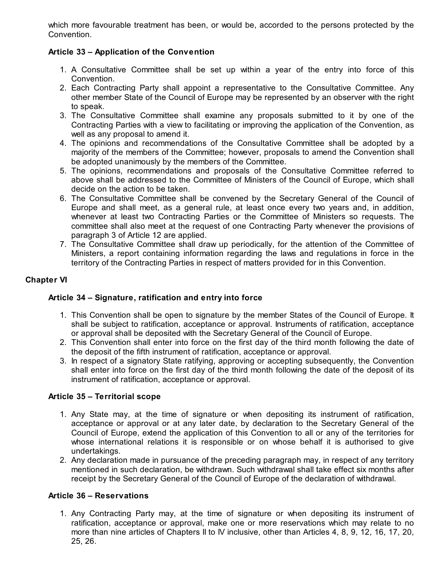which more favourable treatment has been, or would be, accorded to the persons protected by the Convention.

## Article 33 – Application of the Convention

- 1. A Consultative Committee shall be set up within a year of the entry into force of this Convention.
- 2. Each Contracting Party shall appoint a representative to the Consultative Committee. Any other member State of the Council of Europe may be represented by an observer with the right to speak.
- 3. The Consultative Committee shall examine any proposals submitted to it by one of the Contracting Parties with a view to facilitating or improving the application of the Convention, as well as any proposal to amend it.
- 4. The opinions and recommendations of the Consultative Committee shall be adopted by a majority of the members of the Committee; however, proposals to amend the Convention shall be adopted unanimously by the members of the Committee.
- 5. The opinions, recommendations and proposals of the Consultative Committee referred to above shall be addressed to the Committee of Ministers of the Council of Europe, which shall decide on the action to be taken.
- 6. The Consultative Committee shall be convened by the Secretary General of the Council of Europe and shall meet, as a general rule, at least once every two years and, in addition, whenever at least two Contracting Parties or the Committee of Ministers so requests. The committee shall also meet at the request of one Contracting Party whenever the provisions of paragraph 3 of Article 12 are applied.
- 7. The Consultative Committee shall draw up periodically, for the attention of the Committee of Ministers, a report containing information regarding the laws and regulations in force in the territory of the Contracting Parties in respect of matters provided for in this Convention.

## Chapter VI

## Article 34 – Signature, ratification and entry into force

- 1. This Convention shall be open to signature by the member States of the Council of Europe. It shall be subject to ratification, acceptance or approval. Instruments of ratification, acceptance or approval shall be deposited with the Secretary General of the Council of Europe.
- 2. This Convention shall enter into force on the first day of the third month following the date of the deposit of the fifth instrument of ratification, acceptance or approval.
- 3. In respect of a signatory State ratifying, approving or accepting subsequently, the Convention shall enter into force on the first day of the third month following the date of the deposit of its instrument of ratification, acceptance or approval.

### Article 35 – Territorial scope

- 1. Any State may, at the time of signature or when depositing its instrument of ratification, acceptance or approval or at any later date, by declaration to the Secretary General of the Council of Europe, extend the application of this Convention to all or any of the territories for whose international relations it is responsible or on whose behalf it is authorised to give undertakings.
- 2. Any declaration made in pursuance of the preceding paragraph may, in respect of any territory mentioned in such declaration, be withdrawn. Such withdrawal shall take effect six months after receipt by the Secretary General of the Council of Europe of the declaration of withdrawal.

### Article 36 – Reservations

1. Any Contracting Party may, at the time of signature or when depositing its instrument of ratification, acceptance or approval, make one or more reservations which may relate to no more than nine articles of Chapters II to IV inclusive, other than Articles 4, 8, 9, 12, 16, 17, 20, 25, 26.